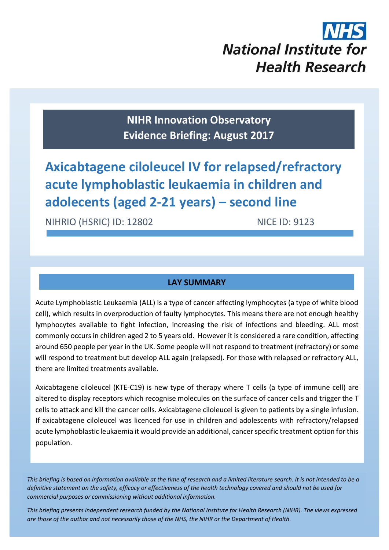# **National Institute for Health Research**

**NIHR Innovation Observatory Evidence Briefing: August 2017**

**Axicabtagene ciloleucel IV for relapsed/refractory acute lymphoblastic leukaemia in children and adolecents (aged 2-21 years) – second line**

NIHRIO (HSRIC) ID: 12802 NICE ID: 9123

#### **LAY SUMMARY**

Acute Lymphoblastic Leukaemia (ALL) is a type of cancer affecting lymphocytes (a type of white blood cell), which results in overproduction of faulty lymphocytes. This means there are not enough healthy lymphocytes available to fight infection, increasing the risk of infections and bleeding. ALL most commonly occurs in children aged 2 to 5 years old. However it is considered a rare condition, affecting around 650 people per year in the UK. Some people will not respond to treatment (refractory) or some will respond to treatment but develop ALL again (relapsed). For those with relapsed or refractory ALL, there are limited treatments available.

Axicabtagene ciloleucel (KTE-C19) is new type of therapy where T cells (a type of immune cell) are altered to display receptors which recognise molecules on the surface of cancer cells and trigger the T cells to attack and kill the cancer cells. Axicabtagene ciloleucel is given to patients by a single infusion. If axicabtagene ciloleucel was licenced for use in children and adolescents with refractory/relapsed acute lymphoblastic leukaemia it would provide an additional, cancer specific treatment option for this population.

*This briefing is based on information available at the time of research and a limited literature search. It is not intended to be a definitive statement on the safety, efficacy or effectiveness of the health technology covered and should not be used for commercial purposes or commissioning without additional information.*

1 *This briefing presents independent research funded by the National Institute for Health Research (NIHR). The views expressed are those of the author and not necessarily those of the NHS, the NIHR or the Department of Health.*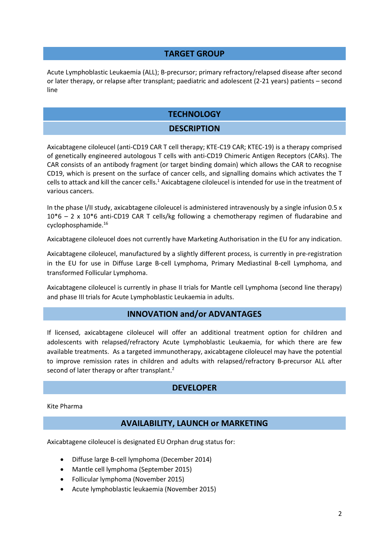#### **TARGET GROUP**

Acute Lymphoblastic Leukaemia (ALL); B-precursor; primary refractory/relapsed disease after second or later therapy, or relapse after transplant; paediatric and adolescent (2-21 years) patients – second line

#### **TECHNOLOGY**

#### **DESCRIPTION**

Axicabtagene ciloleucel (anti-CD19 CAR T cell therapy; KTE-C19 CAR; KTEC-19) is a therapy comprised of genetically engineered autologous T cells with anti-CD19 Chimeric Antigen Receptors (CARs). The CAR consists of an antibody fragment (or target binding domain) which allows the CAR to recognise CD19, which is present on the surface of cancer cells, and signalling domains which activates the T cells to attack and kill the cancer cells.<sup>1</sup> Axicabtagene ciloleucel is intended for use in the treatment of various cancers.

In the phase I/II study, axicabtagene ciloleucel is administered intravenously by a single infusion 0.5 x 10\*6 – 2 x 10\*6 anti-CD19 CAR T cells/kg following a chemotherapy regimen of fludarabine and cyclophosphamide.[16](#page-5-0)

Axicabtagene ciloleucel does not currently have Marketing Authorisation in the EU for any indication.

Axicabtagene ciloleucel, manufactured by a slightly different process, is currently in pre-registration in the EU for use in Diffuse Large B-cell Lymphoma, Primary Mediastinal B-cell Lymphoma, and transformed Follicular Lymphoma.

Axicabtagene ciloleucel is currently in phase II trials for Mantle cell Lymphoma (second line therapy) and phase III trials for Acute Lymphoblastic Leukaemia in adults.

#### **INNOVATION and/or ADVANTAGES**

If licensed, axicabtagene ciloleucel will offer an additional treatment option for children and adolescents with relapsed/refractory Acute Lymphoblastic Leukaemia, for which there are few available treatments. As a targeted immunotherapy, axicabtagene ciloleucel may have the potential to improve remission rates in children and adults with relapsed/refractory B-precursor ALL after second of later therapy or after transplant.<sup>2</sup>

#### **DEVELOPER**

Kite Pharma

#### **AVAILABILITY, LAUNCH or MARKETING**

Axicabtagene ciloleucel is designated EU Orphan drug status for:

- Diffuse large B-cell lymphoma (December 2014)
- Mantle cell lymphoma (September 2015)
- Follicular lymphoma (November 2015)
- Acute lymphoblastic leukaemia (November 2015)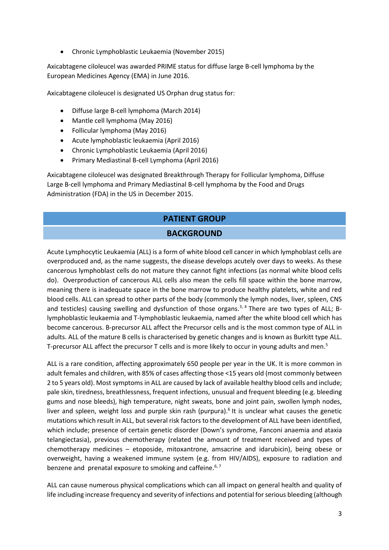Chronic Lymphoblastic Leukaemia (November 2015)

Axicabtagene ciloleucel was awarded PRIME status for diffuse large B-cell lymphoma by the European Medicines Agency (EMA) in June 2016.

Axicabtagene ciloleucel is designated US Orphan drug status for:

- Diffuse large B-cell lymphoma (March 2014)
- Mantle cell lymphoma (May 2016)
- Follicular lymphoma (May 2016)
- Acute lymphoblastic leukaemia (April 2016)
- Chronic Lymphoblastic Leukaemia (April 2016)
- Primary Mediastinal B-cell Lymphoma (April 2016)

Axicabtagene ciloleucel was designated Breakthrough Therapy for Follicular lymphoma, Diffuse Large B-cell lymphoma and Primary Mediastinal B-cell lymphoma by the Food and Drugs Administration (FDA) in the US in December 2015.

# **PATIENT GROUP**

#### **BACKGROUND**

Acute Lymphocytic Leukaemia (ALL) is a form of white blood cell cancer in which lymphoblast cells are overproduced and, as the name suggests, the disease develops acutely over days to weeks. As these cancerous lymphoblast cells do not mature they cannot fight infections (as normal white blood cells do). Overproduction of cancerous ALL cells also mean the cells fill space within the bone marrow, meaning there is inadequate space in the bone marrow to produce healthy platelets, white and red blood cells. ALL can spread to other parts of the body (commonly the lymph nodes, liver, spleen, CNS and testicles) causing swelling and dysfunction of those organs.<sup>3, 4</sup> There are two types of ALL; Blymphoblastic leukaemia and T-lymphoblastic leukaemia, named after the white blood cell which has become cancerous. B-precursor ALL affect the Precursor cells and is the most common type of ALL in adults. ALL of the mature B cells is characterised by genetic changes and is known as Burkitt type ALL. T-precursor ALL affect the precursor T cells and is more likely to occur in young adults and men.<sup>5</sup>

<span id="page-2-0"></span>ALL is a rare condition, affecting approximately 650 people per year in the UK. It is more common in adult females and children, with 85% of cases affecting those <15 years old (most commonly between 2 to 5 years old). Most symptoms in ALL are caused by lack of available healthy blood cells and include; pale skin, tiredness, breathlessness, frequent infections, unusual and frequent bleeding (e.g. bleeding gums and nose bleeds), high temperature, night sweats, bone and joint pain, swollen lymph nodes, liver and spleen, weight loss and purple skin rash (purpura).<sup>6</sup> It is unclear what causes the genetic mutations which result in ALL, but several risk factors to the development of ALL have been identified, which include; presence of certain genetic disorder (Down's syndrome, Fanconi anaemia and ataxia telangiectasia), previous chemotherapy (related the amount of treatment received and types of chemotherapy medicines – etoposide, mitoxantrone, amsacrine and idarubicin), being obese or overweight, having a weakened immune system (e.g. from HIV/AIDS), exposure to radiation and benzene and prenatal exposure to smoking and caffeine.<sup>[6,](#page-2-0) 7</sup>

ALL can cause numerous physical complications which can all impact on general health and quality of life including increase frequency and severity of infections and potential for serious bleeding (although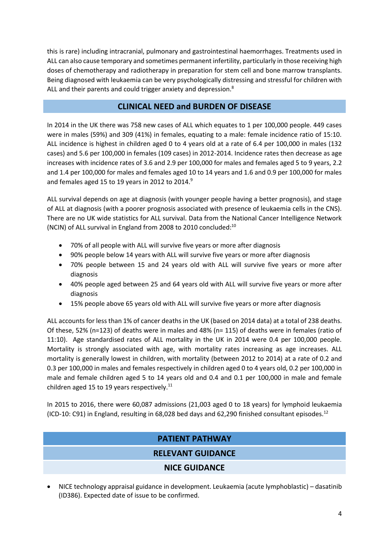this is rare) including intracranial, pulmonary and gastrointestinal haemorrhages. Treatments used in ALL can also cause temporary and sometimes permanent infertility, particularly in those receiving high doses of chemotherapy and radiotherapy in preparation for stem cell and bone marrow transplants. Being diagnosed with leukaemia can be very psychologically distressing and stressful for children with ALL and their parents and could trigger anxiety and depression.<sup>8</sup>

#### **CLINICAL NEED and BURDEN OF DISEASE**

In 2014 in the UK there was 758 new cases of ALL which equates to 1 per 100,000 people. 449 cases were in males (59%) and 309 (41%) in females, equating to a male: female incidence ratio of 15:10. ALL incidence is highest in children aged 0 to 4 years old at a rate of 6.4 per 100,000 in males (132 cases) and 5.6 per 100,000 in females (109 cases) in 2012-2014. Incidence rates then decrease as age increases with incidence rates of 3.6 and 2.9 per 100,000 for males and females aged 5 to 9 years, 2.2 and 1.4 per 100,000 for males and females aged 10 to 14 years and 1.6 and 0.9 per 100,000 for males and females aged 15 to 19 years in 2012 to 2014.<sup>9</sup>

ALL survival depends on age at diagnosis (with younger people having a better prognosis), and stage of ALL at diagnosis (with a poorer prognosis associated with presence of leukaemia cells in the CNS). There are no UK wide statistics for ALL survival. Data from the National Cancer Intelligence Network (NCIN) of ALL survival in England from 2008 to 2010 concluded:<sup>10</sup>

- 70% of all people with ALL will survive five years or more after diagnosis
- 90% people below 14 years with ALL will survive five years or more after diagnosis
- 70% people between 15 and 24 years old with ALL will survive five years or more after diagnosis
- 40% people aged between 25 and 64 years old with ALL will survive five years or more after diagnosis
- 15% people above 65 years old with ALL will survive five years or more after diagnosis

ALL accounts for less than 1% of cancer deaths in the UK (based on 2014 data) at a total of 238 deaths. Of these, 52% (n=123) of deaths were in males and 48% (n= 115) of deaths were in females (ratio of 11:10). Age standardised rates of ALL mortality in the UK in 2014 were 0.4 per 100,000 people. Mortality is strongly associated with age, with mortality rates increasing as age increases. ALL mortality is generally lowest in children, with mortality (between 2012 to 2014) at a rate of 0.2 and 0.3 per 100,000 in males and females respectively in children aged 0 to 4 years old, 0.2 per 100,000 in male and female children aged 5 to 14 years old and 0.4 and 0.1 per 100,000 in male and female children aged 15 to 19 years respectively.<sup>11</sup>

In 2015 to 2016, there were 60,087 admissions (21,003 aged 0 to 18 years) for lymphoid leukaemia (ICD-10: C91) in England, resulting in 68,028 bed days and 62,290 finished consultant episodes.<sup>12</sup>

### **PATIENT PATHWAY**

#### **RELEVANT GUIDANCE**

#### **NICE GUIDANCE**

 NICE technology appraisal guidance in development. Leukaemia (acute lymphoblastic) – dasatinib (ID386). Expected date of issue to be confirmed.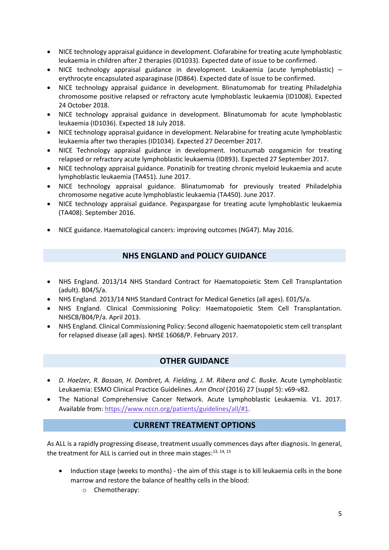- NICE technology appraisal guidance in development. Clofarabine for treating acute lymphoblastic leukaemia in children after 2 therapies (ID1033). Expected date of issue to be confirmed.
- NICE technology appraisal guidance in development. Leukaemia (acute lymphoblastic) erythrocyte encapsulated asparaginase (ID864). Expected date of issue to be confirmed.
- NICE technology appraisal guidance in development. Blinatumomab for treating Philadelphia chromosome positive relapsed or refractory acute lymphoblastic leukaemia (ID1008). Expected 24 October 2018.
- NICE technology appraisal guidance in development. Blinatumomab for acute lymphoblastic leukaemia (ID1036). Expected 18 July 2018.
- NICE technology appraisal guidance in development. Nelarabine for treating acute lymphoblastic leukaemia after two therapies (ID1034). Expected 27 December 2017.
- NICE Technology appraisal guidance in development. Inotuzumab ozogamicin for treating relapsed or refractory acute lymphoblastic leukaemia (ID893). Expected 27 September 2017.
- NICE technology appraisal guidance. Ponatinib for treating chronic myeloid leukaemia and acute lymphoblastic leukaemia (TA451). June 2017.
- NICE technology appraisal guidance. Blinatumomab for previously treated Philadelphia chromosome negative acute lymphoblastic leukaemia (TA450). June 2017.
- NICE technology appraisal guidance. Pegaspargase for treating acute lymphoblastic leukaemia (TA408). September 2016.
- NICE guidance. Haematological cancers: improving outcomes (NG47). May 2016.

#### **NHS ENGLAND and POLICY GUIDANCE**

- NHS England. 2013/14 NHS Standard Contract for Haematopoietic Stem Cell Transplantation (adult). B04/S/a.
- NHS England. 2013/14 NHS Standard Contract for Medical Genetics (all ages). E01/S/a.
- NHS England. Clinical Commissioning Policy: Haematopoietic Stem Cell Transplantation. NHSCB/B04/P/a. April 2013.
- NHS England. Clinical Commissioning Policy: Second allogenic haematopoietic stem cell transplant for relapsed disease (all ages). NHSE 16068/P. February 2017.

#### **OTHER GUIDANCE**

- **•** D. Hoelzer, R. Bassan, H. Dombret, A. Fielding, J. M. Ribera and C. Buske. Acute Lymphoblastic Leukaemia: ESMO Clinical Practice Guidelines. *Ann Oncol* (2016) 27 (suppl 5): v69-v82.
- The National Comprehensive Cancer Network. Acute Lymphoblastic Leukaemia. V1. 2017. Available from[: https://www.nccn.org/patients/guidelines/all/#1.](https://www.nccn.org/patients/guidelines/all/#1)

#### **CURRENT TREATMENT OPTIONS**

As ALL is a rapidly progressing disease, treatment usually commences days after diagnosis. In general, the treatment for ALL is carried out in three main stages:<sup>[13,](#page-5-1) [14,](#page-5-2) [15](#page-5-3)</sup>

- Induction stage (weeks to months) the aim of this stage is to kill leukaemia cells in the bone marrow and restore the balance of healthy cells in the blood:
	- o Chemotherapy: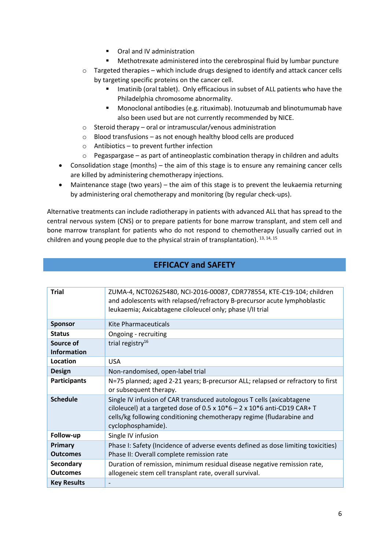- Oral and IV administration
- Methotrexate administered into the cerebrospinal fluid by lumbar puncture
- o Targeted therapies which include drugs designed to identify and attack cancer cells by targeting specific proteins on the cancer cell.
	- **IMERGIFF 19.5 Imatinib (oral tablet). Only efficacious in subset of ALL patients who have the** Philadelphia chromosome abnormality.
	- Monoclonal antibodies (e.g. rituximab). Inotuzumab and blinotumumab have also been used but are not currently recommended by NICE.
- o Steroid therapy oral or intramuscular/venous administration
- o Blood transfusions as not enough healthy blood cells are produced
- o Antibiotics to prevent further infection
- $\circ$  Pegaspargase as part of antineoplastic combination therapy in children and adults
- Consolidation stage (months) the aim of this stage is to ensure any remaining cancer cells are killed by administering chemotherapy injections.
- Maintenance stage (two years) the aim of this stage is to prevent the leukaemia returning by administering oral chemotherapy and monitoring (by regular check-ups).

Alternative treatments can include radiotherapy in patients with advanced ALL that has spread to the central nervous system (CNS) or to prepare patients for bone marrow transplant, and stem cell and bone marrow transplant for patients who do not respond to chemotherapy (usually carried out in children and young people due to the physical strain of transplantation). 13, 14, 15

| <b>Trial</b>                    | ZUMA-4, NCT02625480, NCI-2016-00087, CDR778554, KTE-C19-104; children<br>and adolescents with relapsed/refractory B-precursor acute lymphoblastic<br>leukaemia; Axicabtagene ciloleucel only; phase I/II trial                                                    |
|---------------------------------|-------------------------------------------------------------------------------------------------------------------------------------------------------------------------------------------------------------------------------------------------------------------|
| <b>Sponsor</b>                  | <b>Kite Pharmaceuticals</b>                                                                                                                                                                                                                                       |
| <b>Status</b>                   | Ongoing - recruiting                                                                                                                                                                                                                                              |
| Source of<br><b>Information</b> | trial registry <sup>16</sup>                                                                                                                                                                                                                                      |
| Location                        | <b>USA</b>                                                                                                                                                                                                                                                        |
| <b>Design</b>                   | Non-randomised, open-label trial                                                                                                                                                                                                                                  |
| <b>Participants</b>             | N=75 planned; aged 2-21 years; B-precursor ALL; relapsed or refractory to first<br>or subsequent therapy.                                                                                                                                                         |
| <b>Schedule</b>                 | Single IV infusion of CAR transduced autologous T cells (axicabtagene<br>ciloleucel) at a targeted dose of $0.5 \times 10^{*}6 - 2 \times 10^{*}6$ anti-CD19 CAR+ T<br>cells/kg following conditioning chemotherapy regime (fludarabine and<br>cyclophosphamide). |
| Follow-up                       | Single IV infusion                                                                                                                                                                                                                                                |
| Primary                         | Phase I: Safety (Incidence of adverse events defined as dose limiting toxicities)                                                                                                                                                                                 |
| <b>Outcomes</b>                 | Phase II: Overall complete remission rate                                                                                                                                                                                                                         |
| Secondary<br><b>Outcomes</b>    | Duration of remission, minimum residual disease negative remission rate,<br>allogeneic stem cell transplant rate, overall survival.                                                                                                                               |
| <b>Key Results</b>              |                                                                                                                                                                                                                                                                   |

#### <span id="page-5-3"></span><span id="page-5-2"></span><span id="page-5-1"></span><span id="page-5-0"></span>**EFFICACY and SAFETY**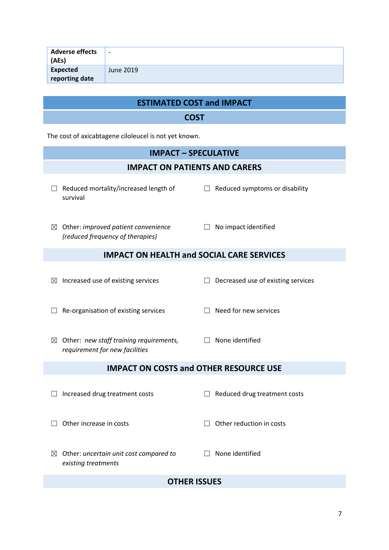| <b>Adverse effects</b><br>(AEs) | $\overline{\phantom{a}}$ |
|---------------------------------|--------------------------|
| Expected<br>reporting date      | June 2019                |

## **ESTIMATED COST and IMPACT**

#### **COST**

The cost of axicabtagene ciloleucel is not yet known.

*existing treatments*

# **IMPACT – SPECULATIVE IMPACT ON PATIENTS AND CARERS** ☐ Reduced mortality/increased length of survival  $\Box$  Reduced symptoms or disability ☒ Other: *improved patient convenience (reduced frequency of therapies)* □ No impact identified **IMPACT ON HEALTH and SOCIAL CARE SERVICES**  $\boxtimes$  Increased use of existing services  $\Box$  Decreased use of existing services ☐ Re-organisation of existing services ☐ Need for new services ☒ Other: *new staff training requirements,*  ☐ None identified *requirement for new facilities* **IMPACT ON COSTS and OTHER RESOURCE USE** ☐ Increased drug treatment costs ☐ Reduced drug treatment costs ☐ Other increase in costs ☐ Other reduction in costs ☒ Other: *uncertain unit cost compared to*  ☐ None identified

#### **OTHER ISSUES**